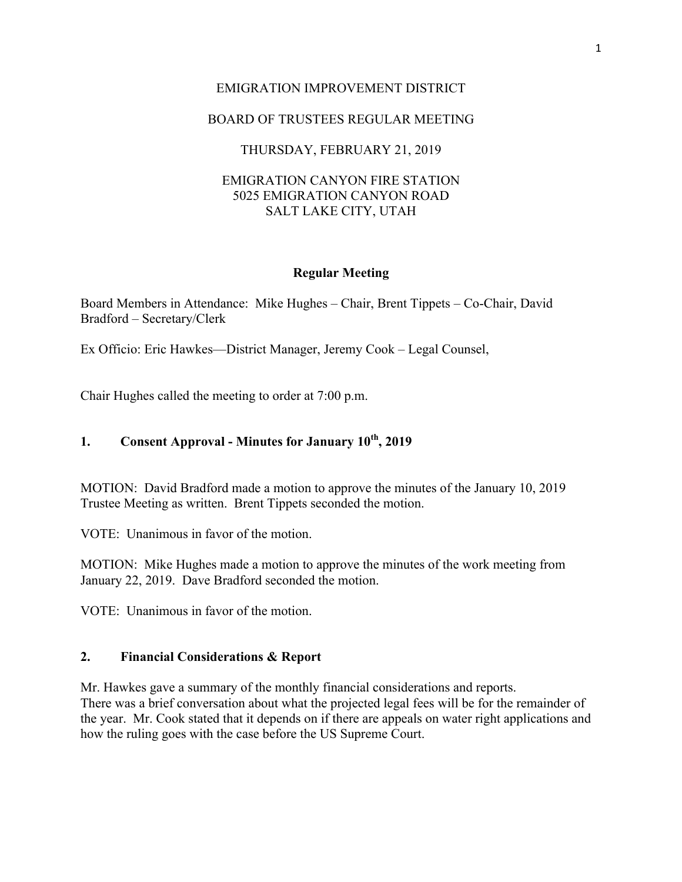# EMIGRATION IMPROVEMENT DISTRICT

## BOARD OF TRUSTEES REGULAR MEETING

## THURSDAY, FEBRUARY 21, 2019

## EMIGRATION CANYON FIRE STATION 5025 EMIGRATION CANYON ROAD SALT LAKE CITY, UTAH

#### **Regular Meeting**

Board Members in Attendance: Mike Hughes – Chair, Brent Tippets – Co-Chair, David Bradford – Secretary/Clerk

Ex Officio: Eric Hawkes—District Manager, Jeremy Cook – Legal Counsel,

Chair Hughes called the meeting to order at 7:00 p.m.

## **1. Consent Approval - Minutes for January 10th, 2019**

MOTION: David Bradford made a motion to approve the minutes of the January 10, 2019 Trustee Meeting as written. Brent Tippets seconded the motion.

VOTE: Unanimous in favor of the motion.

MOTION: Mike Hughes made a motion to approve the minutes of the work meeting from January 22, 2019. Dave Bradford seconded the motion.

VOTE: Unanimous in favor of the motion.

### **2. Financial Considerations & Report**

Mr. Hawkes gave a summary of the monthly financial considerations and reports. There was a brief conversation about what the projected legal fees will be for the remainder of the year. Mr. Cook stated that it depends on if there are appeals on water right applications and how the ruling goes with the case before the US Supreme Court.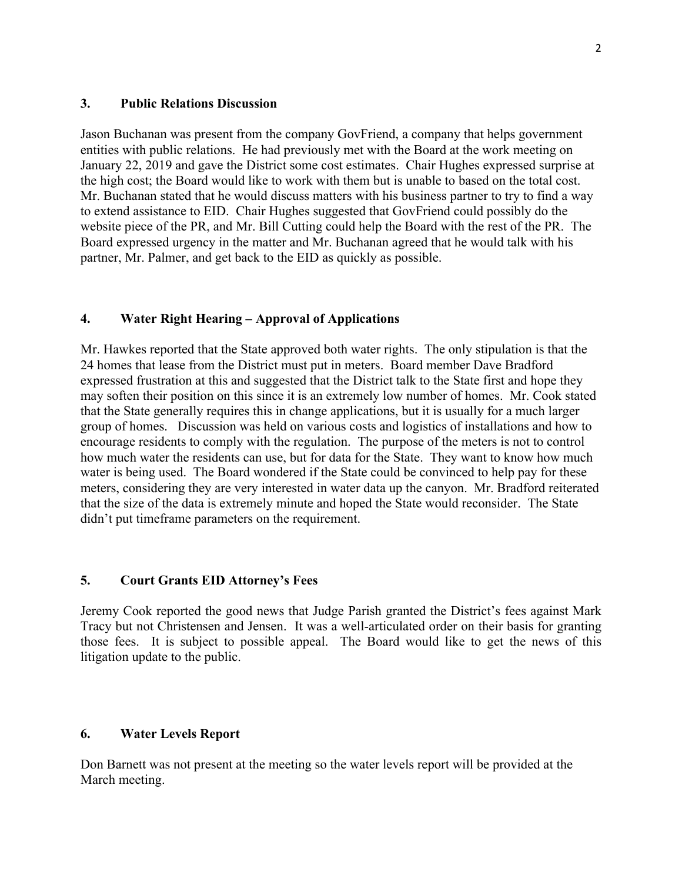#### **3. Public Relations Discussion**

Jason Buchanan was present from the company GovFriend, a company that helps government entities with public relations. He had previously met with the Board at the work meeting on January 22, 2019 and gave the District some cost estimates. Chair Hughes expressed surprise at the high cost; the Board would like to work with them but is unable to based on the total cost. Mr. Buchanan stated that he would discuss matters with his business partner to try to find a way to extend assistance to EID. Chair Hughes suggested that GovFriend could possibly do the website piece of the PR, and Mr. Bill Cutting could help the Board with the rest of the PR. The Board expressed urgency in the matter and Mr. Buchanan agreed that he would talk with his partner, Mr. Palmer, and get back to the EID as quickly as possible.

## **4. Water Right Hearing – Approval of Applications**

Mr. Hawkes reported that the State approved both water rights. The only stipulation is that the 24 homes that lease from the District must put in meters. Board member Dave Bradford expressed frustration at this and suggested that the District talk to the State first and hope they may soften their position on this since it is an extremely low number of homes. Mr. Cook stated that the State generally requires this in change applications, but it is usually for a much larger group of homes. Discussion was held on various costs and logistics of installations and how to encourage residents to comply with the regulation. The purpose of the meters is not to control how much water the residents can use, but for data for the State. They want to know how much water is being used. The Board wondered if the State could be convinced to help pay for these meters, considering they are very interested in water data up the canyon. Mr. Bradford reiterated that the size of the data is extremely minute and hoped the State would reconsider. The State didn't put timeframe parameters on the requirement.

### **5. Court Grants EID Attorney's Fees**

Jeremy Cook reported the good news that Judge Parish granted the District's fees against Mark Tracy but not Christensen and Jensen. It was a well-articulated order on their basis for granting those fees. It is subject to possible appeal. The Board would like to get the news of this litigation update to the public.

### **6. Water Levels Report**

Don Barnett was not present at the meeting so the water levels report will be provided at the March meeting.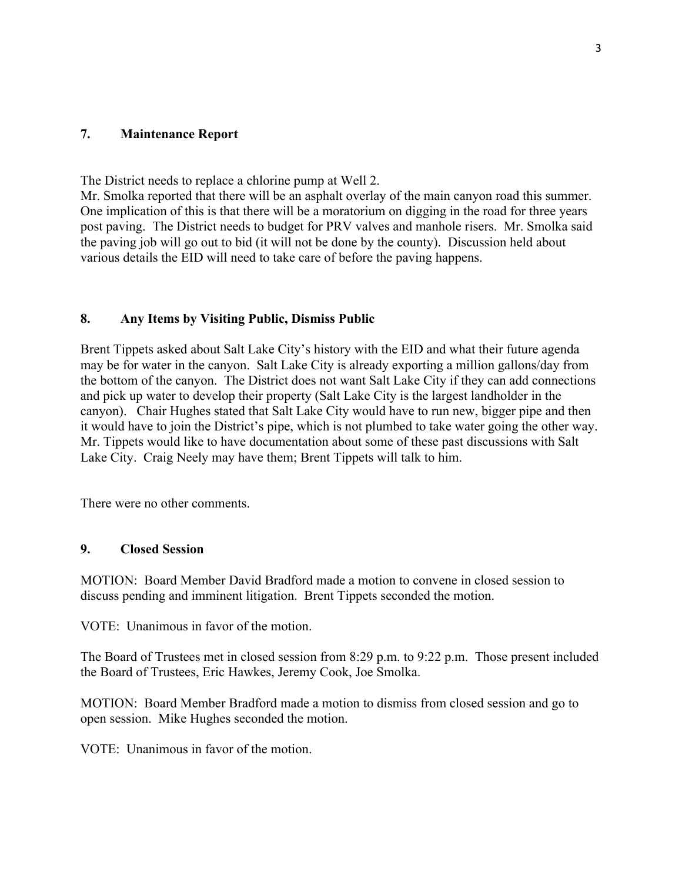## **7. Maintenance Report**

The District needs to replace a chlorine pump at Well 2.

Mr. Smolka reported that there will be an asphalt overlay of the main canyon road this summer. One implication of this is that there will be a moratorium on digging in the road for three years post paving. The District needs to budget for PRV valves and manhole risers. Mr. Smolka said the paving job will go out to bid (it will not be done by the county). Discussion held about various details the EID will need to take care of before the paving happens.

## **8. Any Items by Visiting Public, Dismiss Public**

Brent Tippets asked about Salt Lake City's history with the EID and what their future agenda may be for water in the canyon. Salt Lake City is already exporting a million gallons/day from the bottom of the canyon. The District does not want Salt Lake City if they can add connections and pick up water to develop their property (Salt Lake City is the largest landholder in the canyon). Chair Hughes stated that Salt Lake City would have to run new, bigger pipe and then it would have to join the District's pipe, which is not plumbed to take water going the other way. Mr. Tippets would like to have documentation about some of these past discussions with Salt Lake City. Craig Neely may have them; Brent Tippets will talk to him.

There were no other comments.

## **9. Closed Session**

MOTION: Board Member David Bradford made a motion to convene in closed session to discuss pending and imminent litigation. Brent Tippets seconded the motion.

VOTE: Unanimous in favor of the motion.

The Board of Trustees met in closed session from 8:29 p.m. to 9:22 p.m. Those present included the Board of Trustees, Eric Hawkes, Jeremy Cook, Joe Smolka.

MOTION: Board Member Bradford made a motion to dismiss from closed session and go to open session. Mike Hughes seconded the motion.

VOTE: Unanimous in favor of the motion.